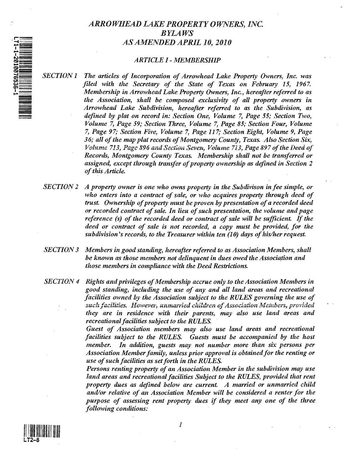# *ARROWHEAD LAKE PROPERTY OWNERS, INC. BYLAWS AS AMENDED APRIL 10,2010*

## *ARTICLE 1* - *MEMBERSHIP*

- *SECTION* 1 *The articles of Incorporation of Arrowhead Lake Property Owners, Inc. was filed with tlte Secretary of the State of Texas on February* 15, 1967. *Membership in Arrowhead Lake Property Owners, Inc., hereafter referred to as the Association, shall be composed exclusivity of all property owners in Arrowhead Lake Subdivision, hereafter referrell to as the Subdivision, as defined by plat on record in: Section One, Volume* 7, *Page* 55; *Section Two, Volume* 7, *Page* 59; *Section Three, Volume* 7, *Page* 85; *Sectioll Four, Volume 7, Page* 97; *Section Five, Volume* 7, *Page* 117; *Section Eight, Volume* 9, *Page 36; all of the map plat records of Montgomery County, Texas. Also Section Six, Volume* 713, *Page* 896 *and Section Seven, Volume 7i3, Page* 897 *of the Deed of Records, Montgomery County Texas. Membership shall not be transferred or assigned, except through transfer of property ownership as defined in Section 2 of this Article.*
- *SECTION* 2 *A property owner is one w/tO owns property in the Subdivison in fee simple, or*  who enters into a contract of sale, or who acquires property through deed of *trust. Ownership of property must be proven by presentation of a recorded deed or recorded contract of sale. In lieu of such presentation, the volume and page reference (s) of the recorded deed or contract of sale will be sufficient. If the deed or contract of sale is not recorded, a copy must be provided, for tite*  subdivision's records, to the Treasurer within ten (10) days of his/her request.
- **SECTION 3** Members in good standing, hereafter referred to as Association Members, shall *be known as those members not delinquent in dues owed the Association and those members in compliance with the Deed Restrictions.*
- *SECTION* 4 *Rights and privileges of Membership accrue only to the Association Members in good standing, including the use of any and all land areas and recreational facilities owned by the Association subject to the RULES governing the use of*  such facilities. However, *unmarried children of Association Members, provided they are in residence with their parents, may also use land areas and recreational facilities subject to the RULES.*

*Guest of Association members may also use land areas and recreational facilities subject to the RULES. Guests must be accompanied by the host member.* In addition, guests may not number more than six persons per *Association Member family, unless prior approval is obtained for the renting or use of such facilities as set forth in the RULES.* 

*Persons renting property of an Association Member in the subdivision may use land areas and recreational facilities Subject to the RULES, provided that rent property dues as defined below are current. A married or unmarried child amVor relative of an Association Member will be considered a renter for the purpose of assessing rent property dues* if *they meet anyone of the three following conditions:* 

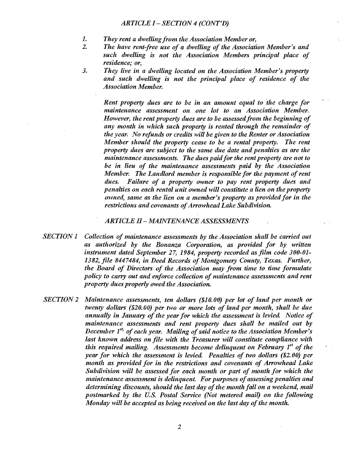## *ARTICLE I-SECTION* 4 *(CONT'D)*

- *1. They rent a dwelling from the Association Member or,*
- *The have rent-free use of a dwelling of the Association Member's and such dwelling is not the Association Members principal place of residence; or,*
- *3. They live in a dwelling located on the Association Member's property and such dwelling is not the principal place of residence of the Association Member.*

*Rent property dues are to be in an amount equal to 'the charge for maintenance assessment on one lot to an Association Member. However, the rent property dues are to be assessed from the beginning of any month in which such property is rented through the remainder of the year. No refunds or credits will be given to the Renter or Association Member should the property cease to be a rental property. The rent property dues are subject to the same due date and penalties as are the maintenance assessments. The dues paitl for the rent property are not to be in lieu of the maintenance assessments paid by the Association Member. The Lantllord member is responsible for the payment of rent dues. Failure of a property owner to pay rent property dues and penalties on each rental unit owned will constitute a lien on the property owned, same as the lien on a member's property as provided for in the restrictions and covenants of Arrowhead Lake Subdivision.* 

## *ARTICLE II-MAINTENANCE ASSESSMENTS*

- *SECTION* 1 *Collection of maintenance assessments by the Association shall be carried out as authorized by the Bonanza Corporation, as provided for by written instrument dated September* 27, 1984, *property recorded as film code 300-01- 1382, file* 8447484, *in Deed Records of Montgomery County, Texas. Further, the Board of Directors of the Association may from time to time formulate policy to carry out and enforce collection of maintenance assessments and rent property dues properly owed the Association.*
- *SECTION* 2 *Maintenance assessments, ten dollars (\$10.00) per lot of land per month or twenty dollars (\$20.60) per two or more lots of land per month, shall be due annually in January of the year for which the assessment is levied. Notice of maintenance assessments and rent property dues shall be mailed out by*  December 1<sup>st,</sup> of each year. Mailing of said notice to the Association Member's last known address on file with the Treasurer will constitute compliance with *this required mailing. Assessments become delinquent on February 1<sup>st</sup> of the year for which the assessment is levied. Penalties of two dollars (\$2.00) per month as provided for in the restrictions and covenants of Arrowhead Lake Subdivision will be assessed for each month or part of month for which the naintenance assessment is delinquent. For purposes of assessing penalties and determining discounts, should the last day of the month fall on a weekend, mail postmarked by the U.S. Postal Sen'ice (Not metered mail) on the following Monday will be accepted as being received on the last day of the month.*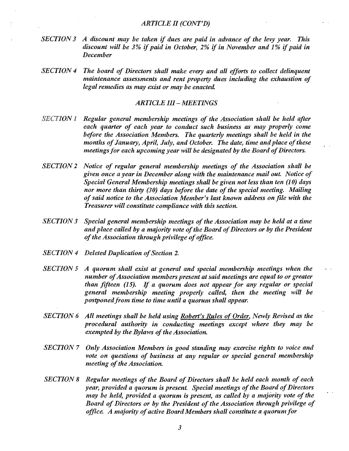- *SECTION* 3 *A (liscount may be taken* if *dues are p{lid in advance of the levy year. This discount will be 3% if paid in October, 2% if in November and 1% if paid in December*
- *SECTION* 4 *The board of Directors shall make every and all efforts to collect delinquent maintenance assessments and rent property dues including the exhaustion of legal remedies as may exist or may be enacted.*

## *ARTICLE 111- MEETINGS*

- *SECTION* 1 *Regular general membership meetings of the Association shall be held after each quarter of each year to conduct such business as may properly come before the Association Members. The quarterly meetings shall be held in the months of January, April, July, and October. The date, time and place of these meetings for each upcoming year will be designated by the Board of Directors.*
- *SECTION* 2 *Notice of regular general membership meetings of the Association shall be given once a year in December along with the maintenance mail out. Notice of Special General Membership meetings shall be given not less than ten (10) days nor more than thirty (30) days before the date of the special meeting. Mailing of said notice to the Association Member's last known address on file with tlte Treasurer will constitute compliance with this section.*
- *SECTION* 3 *Special general membership meetings of the Association may be held at a time*  and place called by a majority vote of the Board of Directors or by the President *of tlte Association through privilege of office.*
- *SECTION* 4 *Deleted Duplication of Section 2.*
- *SECTION* 5 *A quorum shall exist at general ami special membership meetings when the number of Association members present at said meetings are equal to or greater than fifteen* (15). If *a quorum does not appear for any regular or special general membership meeting properly called, then the meeting will be postponed from time to time until a quorum shall appear.*
- *SECTION* 6 *All meetings shall be held using Robert's Rules 'of Order. Newly Revised as the procedural authority in conducting meetings except where they may be exempted by the Bylaws of the Association.*
- **SECTION 7** Only Association Members in good standing may exercise rights to voice and *vote on questions of business at any regular or special general membership meeting of the Association.*
- **SECTION 8** Regular meetings of the Board of Directors shall be held each month of each *year; provided a quorum is present. Special meetings of the Board of Directors may be held, provided a quorum is present, as called by a majority vote of the Board of Directors or by the President of the Association through privilege of office. A majority of active Board Members shall constitute a quorumfor*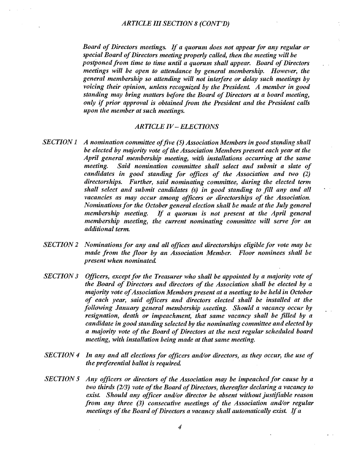*Board of Directors meetings.* If *a quorum does not appear for any regular or special Board of Directors meeting properly called, then the meeting 'will be postponed from time to time until a quorum shall appear. Board of Directors meetings will be open to attemlance by general membership. However, the general membership so attending will not interfere or delay such meetings by voicing their opinion, unless recognized by the President A member in good standing may bring matters before the Board of Directors at a board meeting, only* if *prior approval is obtained from the President and the President calls upon the member at such meetings.* 

## *ARTICLE IV* - *ELECTIONS*

- **SECTION 1** A nomination committee of five (5) Association Members in good standing shall *be elected by majority vote of the Association Members present each year at the April general membership meeting, with installations occurring at the same meeting.* Said nomination committee shall select and submit a slate of *candidates in good standing for offices of the Association and two (2) directorships. Further, said nominating committee, during the elected term shall select ami submit candidates (s) in good standing to fill any and all vacancies as may occur among officers or directorships of the Association. Nominations for the October general election shall be made at the July general membership meeting. If a quorum is not present at the April general membership meeting, the current nominating committee will serve for an additional term ..*
- *SECTION* 2 *Nominations for any and all offices and directorships eligible for vote may be made from the floor by an Association Member. Floor nominees shall be present when nominatelL*
- *SECTION* 3 *Officers, except for the Treasurer who shall be appointed by a majority vote of the Board of Directors ami directors of the Association shall be elected by a majority vote of Association Members present at a meeting to be held in October of each year, said officers and directors elected shall be installed at the following January general membership meeting. Should a vacancy occur by resignation, death or impeachment, that same vacancy shall be filled by a candidate in good standing selected by the nominating committee and elected by a majority vote of the Board of Directors at the next regular schelluled board meeting, with installation being malle at that same meeting.*
- *SECTION* 4 *In any and all elections for officers amVor directors, as they occur, the use of the preferential ballot is requirell*
- **SECTION 5** *Any officers or directors of the Association may be impeached for cause by a two thirds* (2/3) *vote of the Board of Directors, thereafter declaring a vacancy to exist. Should any officer amVor director be absent without justifiable reason from any three* (3) *consecutive meetings of the Association amVor regular meetings of the Board of Directors a vacancy shall automatically exist.* If *<sup>a</sup>*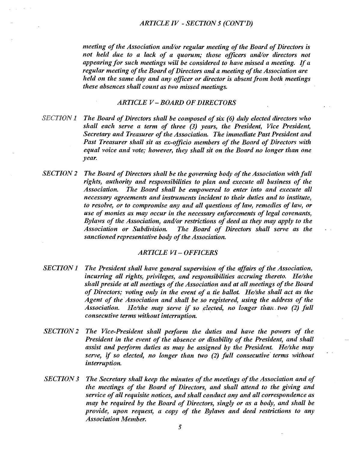#### *ARTICLE IV* - *SECTION* 5 *(CONT'D)*

*meeting of the Association amVor regular meeting of the Board of Directors is not held due to a lack of a quorum; those officers amVor directors not appearing for such meetings will be considered to have missed a meeting. {f a regular meeting of the Board of Directors and a meeting of the Association are held on the same day and any officer or director is absent from both meetings these absences shall count as two missed meetings.* 

## *ARTICLE V* - *BOARD OF DIRECTORS*

- *SECTION* 1 *The Board of Directors shall be composed of six* (6) *duly elected directors who shall each sen'e a term of three* (3) *years, the President, Vice President, Secretary and Treasurer of the Association. The immediate Past President and Past Treasurer shall sit as ex-officio members of the Board of Directors with equal voice and vote; however, they shall sit on the Board no longer than one year.*
- *SECTION* 2 *The Board of Directors shall be the governing body of the Association with full rights, authority and responsibilities to plan and execute all business of the Association. The Board shall be empowered to enter into and 'execute all necessary agreements and instruments incident to their duties and to institute, to resolve, or to compromise any and all questions of law, remedies of law, or use of monies as may occur in the necessary enforcements of legal covenants, Bylaws of the Association, and/or restrictions of deed as they may apply to the Association or Subdivision. The Board of Directors shall sen'e as the sanctioned representative body of the Association.*

## *ARTICLE VI-OFFICERS*

- *SECTION* 1 *The President shall have general supervision of the affairs of the Association, incurring all rights, privileges, and responsibilities accruing thereto. He/she shall preside at all meetings of the Association and at all meetings of the Board of Directors; voting only in the event of a tie ballot He/she shall act as the Agent of the Association and shall be so registered, using the address of the Association. He/she may serve if so .elected, no longer than., two* (2) *full consecutive terms without interruption.*
- *SECTION* 2 *The Vice-President shall perform the duties and have the powers of the*  President in the event of the absence or disability of the President, and shall *assist and perform duties as may be assigned by the President. He/she may sen'e,* if *so elected, no longer than two* (2) *full consecutive'terms wit/tout interruption.*
- *SECTION* 3 *The Secretary shall keep the minutes of the meetings of the Association and of the meetings of the Board of Directors, and shall attend to the giving ami service of all requisite notices, and shall conduct any and all correspondence as may be required by the Board of Directors, singly or as a body, and shall be proville, upon request, a copy of the Bylaws and deed restrictions to any Association Member.*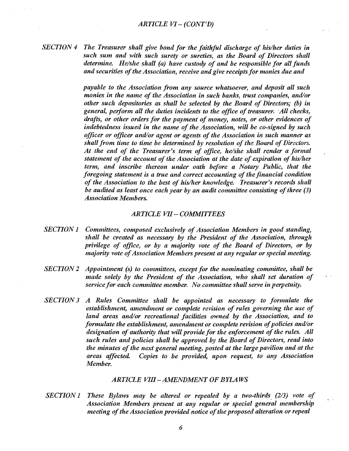*SECTION* 4 The Treasurer shall give bond for the faithful discharge of his/her duties in such sum and with such surety or sureties, as the Board of Directors shall *determine. He/she shall (a) have custody of and be responsible for all funds amI securities of the Association, receive and give receipts for monies due and* 

> *payable to the Association from any source whatsoever, and deposit all such monies in the name of the Association in such banks, trust companies, anlVor other such depositories as shall be selected by the Board of Directors; (b) in*  general, perform all the duties incidents to the office of treasurer. All checks, *drafts, or other orders for the payment of money, notes, or other evidences of indebtedness issued in the name of the Association, will be co-signed by such officer or officer and/or agent or agents of the Association in such manner as shall from time to time be determined by resolution of the Board of Directors.* At the end of the Treasurer's term of office, he/she shall render a formal *statement of the account of the Association at the date of expiration of his/her term, amI inscribe thereon under oath before a Notary Public, that the foregoing statement is a true and correct accounting of the financial condition of the Association to the best of his/her knowledge. Treasurer's records shall be audited as least once each year by an audit committee consisting of three (3) Association Members.*

#### *ARTICLE VII COMMITTEES*

- *SECTION 1 Committees, composed exclusively of Association Members in good stamling, shall be createll as necessary by the President of the Association, through*  privilege of office, or by a majority vote of the Board of Directors, or by *majority vote of Association Members present at any regular or special meeting.*
- *SECTION* 2 *Appointment (s) to committees, except for the nominating committee, shall be made solely by the President of the Association, who shall set duration of service for each committee member. No committee shall serve in perpetuity.*
- **SECTION 3** *A* Rules Committee shall be appointed as necessary to formulate the *establishment, amendment or complete revision of rules governing the use of land areas amVor recreational facilities owned by the Association, anll to formulate the establishment, amenllment or complete revision of policies and/or designation of authority that will provide for the enforcement of the rules. All such rules and policies shall be approved by the Board of Directors, read into the minutes of the next general meeting, posted at the large pavilion amI at the areas affectelL Copies to be provided, upon request, to any Association Member.*

## *ARTICLE VIII -AMENDMENT OF BYLAWS*

*SECTION 1 These Bylaws may be altered or repealed by a two-thirds (2/3) vote of Association Members present at any regular or special general membership meeting of the Association provided notice of the proposed alteration or repeal*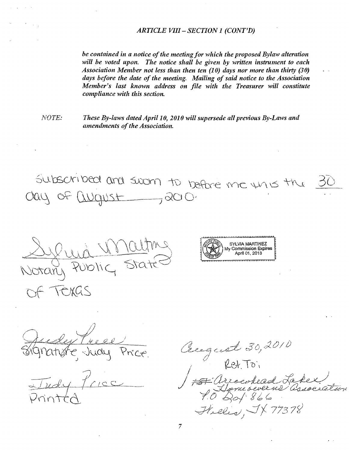### *ARTICLE VIII* - *SECTION} (CONT'D)*

be contained in a notice of the meeting for which the proposed Bylaw alteration will be voted upon. The notice shall be given by written instrument to each *Association Member not less than then ten (10) days nor more than thirty (30) days before the date of the meeting. Mailing of said notice to the Association Member's last known address on file with the Treasurer will constitute compliance with this section.* 

*NOTE:* 

*These By-laws dated April} 0, 20} 0 will supersede all previous By-Laws and amendments of the Association.* 

 $5\mu$ bschibed and sworn to before me  $\mu$ n is the  $cay$  of  $Ququs+$ , 200.

stany F TEXAS



Tudy

Cerquet 30,2010 Arroched Lakes Helis, JX 77378